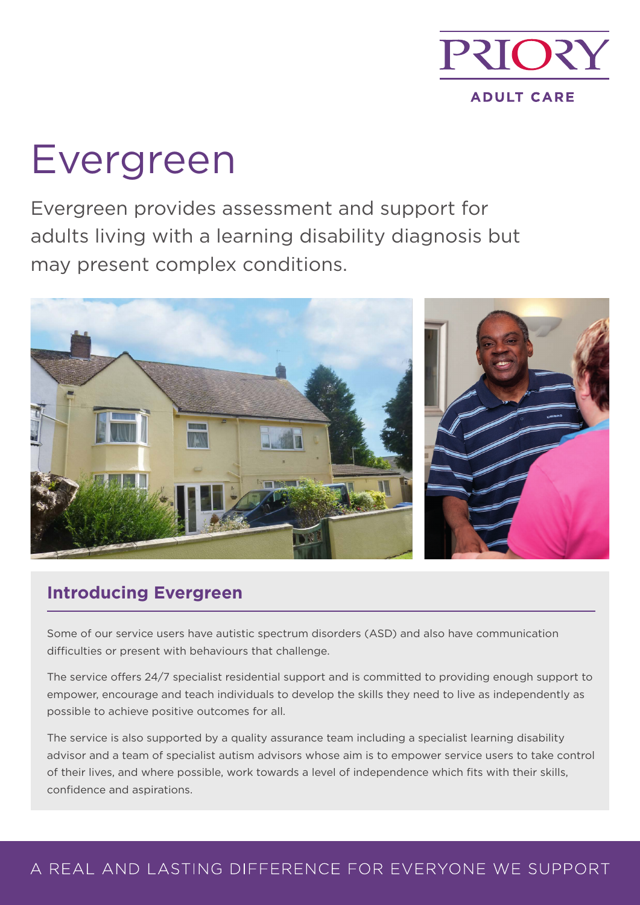

# Evergreen

Evergreen provides assessment and support for adults living with a learning disability diagnosis but may present complex conditions.



## **Introducing Evergreen**

Some of our service users have autistic spectrum disorders (ASD) and also have communication difficulties or present with behaviours that challenge.

The service offers 24/7 specialist residential support and is committed to providing enough support to empower, encourage and teach individuals to develop the skills they need to live as independently as possible to achieve positive outcomes for all.

The service is also supported by a quality assurance team including a specialist learning disability advisor and a team of specialist autism advisors whose aim is to empower service users to take control of their lives, and where possible, work towards a level of independence which fits with their skills, confidence and aspirations.